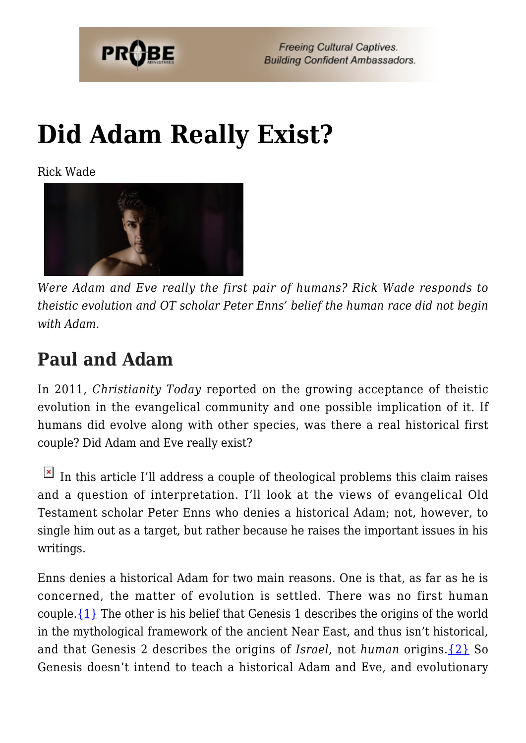

**Freeing Cultural Captives. Building Confident Ambassadors.** 

# **[Did Adam Really Exist?](https://probe.org/did-adam-really-exist/)**

Rick Wade



*Were Adam and Eve really the first pair of humans? Rick Wade responds to theistic evolution and OT scholar Peter Enns' belief the human race did not begin with Adam.*

## **Paul and Adam**

In 2011, *Christianity Today* reported on the growing acceptance of theistic evolution in the evangelical community and one possible implication of it. If humans did evolve along with other species, was there a real historical first couple? Did Adam and Eve really exist?

In this article I'll address a couple of theological problems this claim raises and a question of interpretation. I'll look at the views of evangelical Old Testament scholar Peter Enns who denies a historical Adam; not, however, to single him out as a target, but rather because he raises the important issues in his writings.

Enns denies a historical Adam for two main reasons. One is that, as far as he is concerned, the matter of evolution is settled. There was no first human couple[.{1}](#page-5-0) The other is his belief that Genesis 1 describes the origins of the world in the mythological framework of the ancient Near East, and thus isn't historical, and that Genesis 2 describes the origins of *Israel*, not *human* origins.[{2}](#page-6-0) So Genesis doesn't intend to teach a historical Adam and Eve, and evolutionary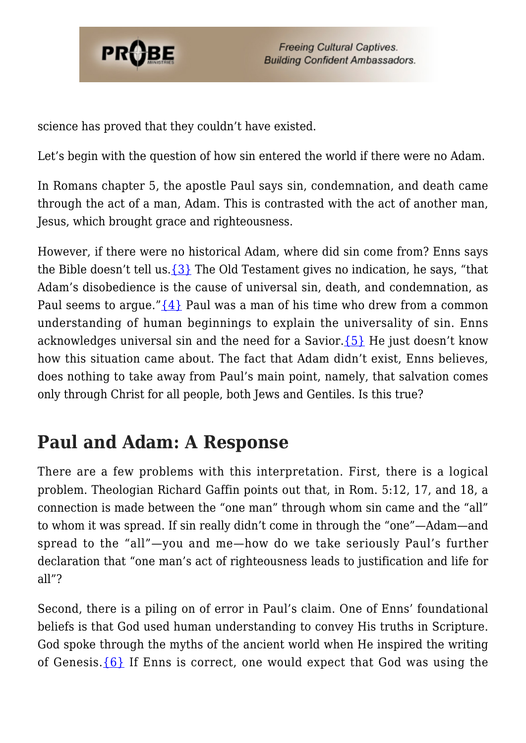

science has proved that they couldn't have existed.

Let's begin with the question of how sin entered the world if there were no Adam.

In Romans chapter 5, the apostle Paul says sin, condemnation, and death came through the act of a man, Adam. This is contrasted with the act of another man, Jesus, which brought grace and righteousness.

However, if there were no historical Adam, where did sin come from? Enns says the Bible doesn't tell us.  $\{3\}$  The Old Testament gives no indication, he says, "that Adam's disobedience is the cause of universal sin, death, and condemnation, as Paul seems to argue." $\{4\}$  Paul was a man of his time who drew from a common understanding of human beginnings to explain the universality of sin. Enns acknowledges universal sin and the need for a Savior.[{5}](#page-6-3) He just doesn't know how this situation came about. The fact that Adam didn't exist, Enns believes, does nothing to take away from Paul's main point, namely, that salvation comes only through Christ for all people, both Jews and Gentiles. Is this true?

# **Paul and Adam: A Response**

There are a few problems with this interpretation. First, there is a logical problem. Theologian Richard Gaffin points out that, in Rom. 5:12, 17, and 18, a connection is made between the "one man" through whom sin came and the "all" to whom it was spread. If sin really didn't come in through the "one"—Adam—and spread to the "all"—you and me—how do we take seriously Paul's further declaration that "one man's act of righteousness leads to justification and life for all"?

Second, there is a piling on of error in Paul's claim. One of Enns' foundational beliefs is that God used human understanding to convey His truths in Scripture. God spoke through the myths of the ancient world when He inspired the writing of Genesis. $\{6\}$  If Enns is correct, one would expect that God was using the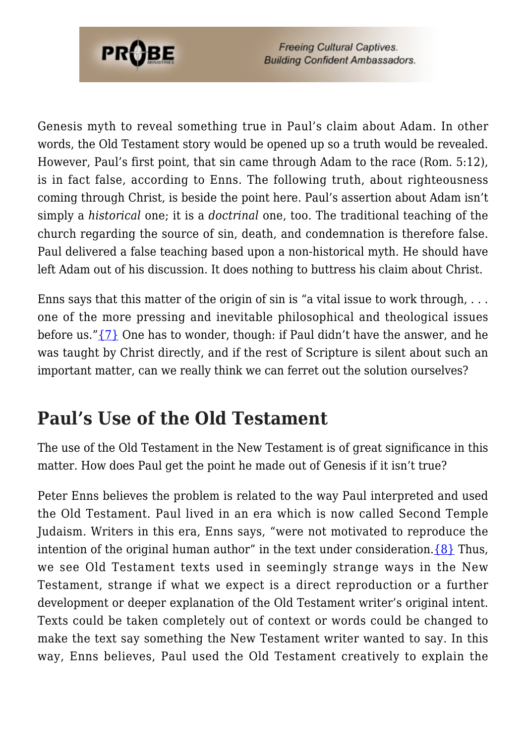

**Freeing Cultural Captives. Building Confident Ambassadors.** 

Genesis myth to reveal something true in Paul's claim about Adam. In other words, the Old Testament story would be opened up so a truth would be revealed. However, Paul's first point, that sin came through Adam to the race (Rom. 5:12), is in fact false, according to Enns. The following truth, about righteousness coming through Christ, is beside the point here. Paul's assertion about Adam isn't simply a *historical* one; it is a *doctrinal* one, too. The traditional teaching of the church regarding the source of sin, death, and condemnation is therefore false. Paul delivered a false teaching based upon a non-historical myth. He should have left Adam out of his discussion. It does nothing to buttress his claim about Christ.

Enns says that this matter of the origin of sin is "a vital issue to work through, . . . one of the more pressing and inevitable philosophical and theological issues before us." $\{7\}$  One has to wonder, though: if Paul didn't have the answer, and he was taught by Christ directly, and if the rest of Scripture is silent about such an important matter, can we really think we can ferret out the solution ourselves?

### **Paul's Use of the Old Testament**

The use of the Old Testament in the New Testament is of great significance in this matter. How does Paul get the point he made out of Genesis if it isn't true?

Peter Enns believes the problem is related to the way Paul interpreted and used the Old Testament. Paul lived in an era which is now called Second Temple Judaism. Writers in this era, Enns says, "were not motivated to reproduce the intention of the original human author" in the text under consideration. $\{8\}$  Thus, we see Old Testament texts used in seemingly strange ways in the New Testament, strange if what we expect is a direct reproduction or a further development or deeper explanation of the Old Testament writer's original intent. Texts could be taken completely out of context or words could be changed to make the text say something the New Testament writer wanted to say. In this way, Enns believes, Paul used the Old Testament creatively to explain the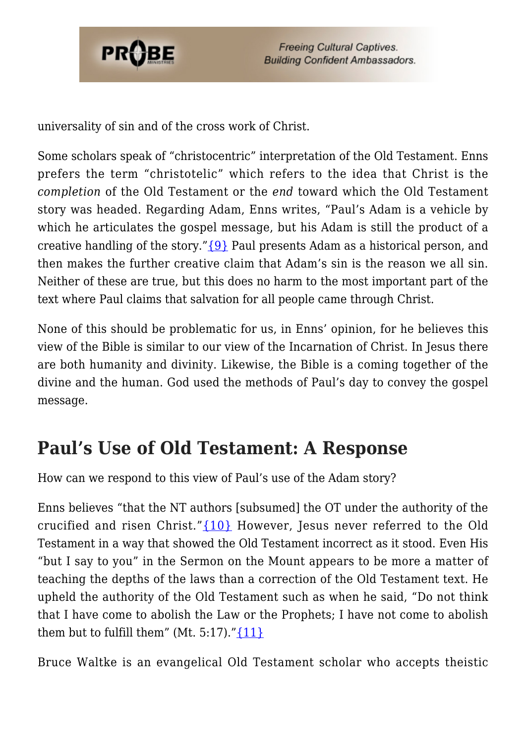

universality of sin and of the cross work of Christ.

Some scholars speak of "christocentric" interpretation of the Old Testament. Enns prefers the term "christotelic" which refers to the idea that Christ is the *completion* of the Old Testament or the *end* toward which the Old Testament story was headed. Regarding Adam, Enns writes, "Paul's Adam is a vehicle by which he articulates the gospel message, but his Adam is still the product of a creative handling of the story.["{9}](#page-6-7) Paul presents Adam as a historical person, and then makes the further creative claim that Adam's sin is the reason we all sin. Neither of these are true, but this does no harm to the most important part of the text where Paul claims that salvation for all people came through Christ.

None of this should be problematic for us, in Enns' opinion, for he believes this view of the Bible is similar to our view of the Incarnation of Christ. In Jesus there are both humanity and divinity. Likewise, the Bible is a coming together of the divine and the human. God used the methods of Paul's day to convey the gospel message.

### **Paul's Use of Old Testament: A Response**

How can we respond to this view of Paul's use of the Adam story?

Enns believes "that the NT authors [subsumed] the OT under the authority of the crucified and risen Christ."[{10}](#page-6-8) However, Jesus never referred to the Old Testament in a way that showed the Old Testament incorrect as it stood. Even His "but I say to you" in the Sermon on the Mount appears to be more a matter of teaching the depths of the laws than a correction of the Old Testament text. He upheld the authority of the Old Testament such as when he said, "Do not think that I have come to abolish the Law or the Prophets; I have not come to abolish them but to fulfill them" (Mt. 5:17)." $\{11\}$ 

Bruce Waltke is an evangelical Old Testament scholar who accepts theistic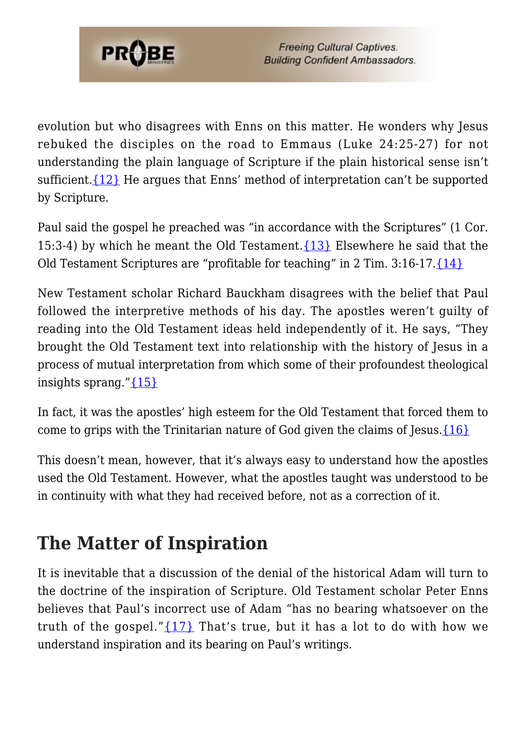

evolution but who disagrees with Enns on this matter. He wonders why Jesus rebuked the disciples on the road to Emmaus (Luke 24:25-27) for not understanding the plain language of Scripture if the plain historical sense isn't sufficient.  $\{12\}$  He argues that Enns' method of interpretation can't be supported by Scripture.

Paul said the gospel he preached was "in accordance with the Scriptures" (1 Cor. 15:3-4) by which he meant the Old Testament.  $\{13\}$  Elsewhere he said that the Old Testament Scriptures are "profitable for teaching" in 2 Tim. 3:16-17.[{14}](#page-6-12)

New Testament scholar Richard Bauckham disagrees with the belief that Paul followed the interpretive methods of his day. The apostles weren't guilty of reading into the Old Testament ideas held independently of it. He says, "They brought the Old Testament text into relationship with the history of Jesus in a process of mutual interpretation from which some of their profoundest theological insights sprang."[{15}](#page-6-13)

In fact, it was the apostles' high esteem for the Old Testament that forced them to come to grips with the Trinitarian nature of God given the claims of Jesus. $\{16\}$ 

This doesn't mean, however, that it's always easy to understand how the apostles used the Old Testament. However, what the apostles taught was understood to be in continuity with what they had received before, not as a correction of it.

# **The Matter of Inspiration**

It is inevitable that a discussion of the denial of the historical Adam will turn to the doctrine of the inspiration of Scripture. Old Testament scholar Peter Enns believes that Paul's incorrect use of Adam "has no bearing whatsoever on the truth of the gospel." $\{17\}$  That's true, but it has a lot to do with how we understand inspiration and its bearing on Paul's writings.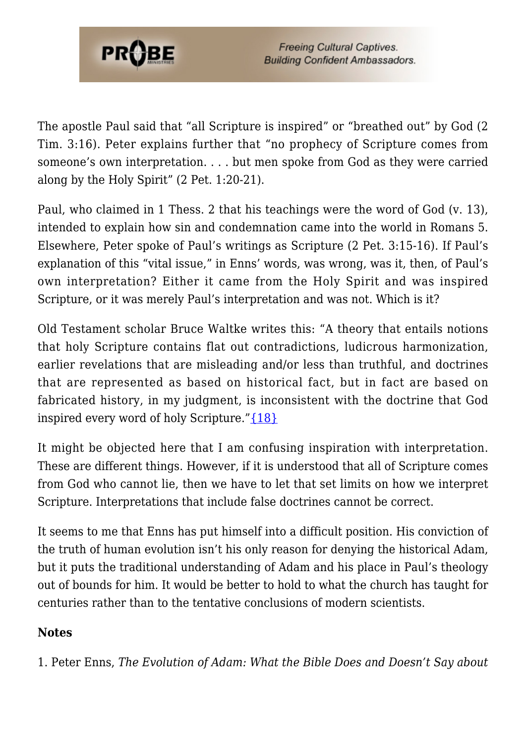

The apostle Paul said that "all Scripture is inspired" or "breathed out" by God (2 Tim. 3:16). Peter explains further that "no prophecy of Scripture comes from someone's own interpretation. . . . but men spoke from God as they were carried along by the Holy Spirit" (2 Pet. 1:20-21).

Paul, who claimed in 1 Thess. 2 that his teachings were the word of God (v. 13), intended to explain how sin and condemnation came into the world in Romans 5. Elsewhere, Peter spoke of Paul's writings as Scripture (2 Pet. 3:15-16). If Paul's explanation of this "vital issue," in Enns' words, was wrong, was it, then, of Paul's own interpretation? Either it came from the Holy Spirit and was inspired Scripture, or it was merely Paul's interpretation and was not. Which is it?

Old Testament scholar Bruce Waltke writes this: "A theory that entails notions that holy Scripture contains flat out contradictions, ludicrous harmonization, earlier revelations that are misleading and/or less than truthful, and doctrines that are represented as based on historical fact, but in fact are based on fabricated history, in my judgment, is inconsistent with the doctrine that God inspired every word of holy Scripture.["{18}](#page-7-0)

It might be objected here that I am confusing inspiration with interpretation. These are different things. However, if it is understood that all of Scripture comes from God who cannot lie, then we have to let that set limits on how we interpret Scripture. Interpretations that include false doctrines cannot be correct.

It seems to me that Enns has put himself into a difficult position. His conviction of the truth of human evolution isn't his only reason for denying the historical Adam, but it puts the traditional understanding of Adam and his place in Paul's theology out of bounds for him. It would be better to hold to what the church has taught for centuries rather than to the tentative conclusions of modern scientists.

#### **Notes**

<span id="page-5-0"></span>1. Peter Enns, *The Evolution of Adam: What the Bible Does and Doesn't Say about*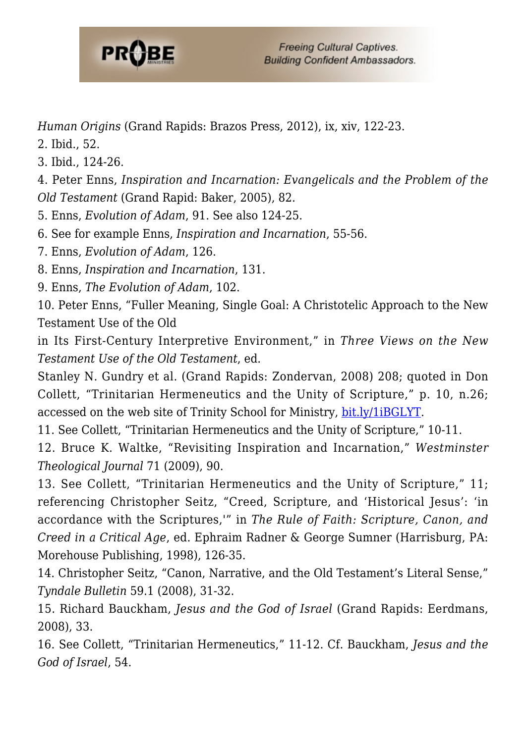

*Human Origins* (Grand Rapids: Brazos Press, 2012), ix, xiv, 122-23.

- <span id="page-6-0"></span>2. Ibid., 52.
- <span id="page-6-1"></span>3. Ibid., 124-26.

<span id="page-6-2"></span>4. Peter Enns, *Inspiration and Incarnation: Evangelicals and the Problem of the Old Testament* (Grand Rapid: Baker, 2005), 82.

<span id="page-6-3"></span>5. Enns, *Evolution of Adam*, 91. See also 124-25.

- <span id="page-6-4"></span>6. See for example Enns, *Inspiration and Incarnation*, 55-56.
- <span id="page-6-5"></span>7. Enns, *Evolution of Adam*, 126.

<span id="page-6-6"></span>8. Enns, *Inspiration and Incarnation*, 131.

<span id="page-6-7"></span>9. Enns, *The Evolution of Adam*, 102.

<span id="page-6-8"></span>10. Peter Enns, "Fuller Meaning, Single Goal: A Christotelic Approach to the New Testament Use of the Old

in Its First-Century Interpretive Environment," in *Three Views on the New Testament Use of the Old Testament*, ed.

Stanley N. Gundry et al. (Grand Rapids: Zondervan, 2008) 208; quoted in Don Collett, "Trinitarian Hermeneutics and the Unity of Scripture," p. 10, n.26; accessed on the web site of Trinity School for Ministry, [bit.ly/1iBGLYT.](http://www.tsm.edu/faculty_writings/trinitarian_hermeneutics_and_the_unity_of_scripture)

<span id="page-6-9"></span>11. See Collett, "Trinitarian Hermeneutics and the Unity of Scripture," 10-11.

<span id="page-6-10"></span>12. Bruce K. Waltke, "Revisiting Inspiration and Incarnation," *Westminster Theological Journal* 71 (2009), 90.

<span id="page-6-11"></span>13. See Collett, "Trinitarian Hermeneutics and the Unity of Scripture," 11; referencing Christopher Seitz, "Creed, Scripture, and 'Historical Jesus': 'in accordance with the Scriptures,'" in *The Rule of Faith: Scripture, Canon, and Creed in a Critical Age*, ed. Ephraim Radner & George Sumner (Harrisburg, PA: Morehouse Publishing, 1998), 126-35.

<span id="page-6-12"></span>14. Christopher Seitz, "Canon, Narrative, and the Old Testament's Literal Sense," *Tyndale Bulletin* 59.1 (2008), 31-32.

<span id="page-6-13"></span>15. Richard Bauckham, *Jesus and the God of Israel* (Grand Rapids: Eerdmans, 2008), 33.

<span id="page-6-15"></span><span id="page-6-14"></span>16. See Collett, "Trinitarian Hermeneutics," 11-12. Cf. Bauckham, *Jesus and the God of Israel*, 54.